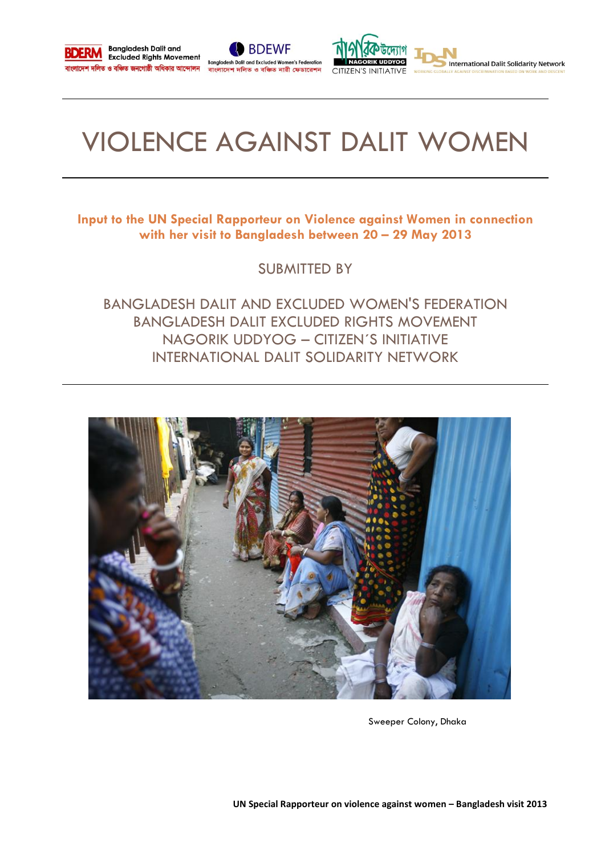





International Dalit Solidarity Network

# VIOLENCE AGAINST DALIT WOMEN

**Input to the UN Special Rapporteur on Violence against Women in connection with her visit to Bangladesh between 20 – 29 May 2013**

SUBMITTED BY

BANGLADESH DALIT AND EXCLUDED WOMEN'S FEDERATION BANGLADESH DALIT EXCLUDED RIGHTS MOVEMENT NAGORIK UDDYOG – CITIZEN´S INITIATIVE INTERNATIONAL DALIT SOLIDARITY NETWORK



Sweeper Colony, Dhaka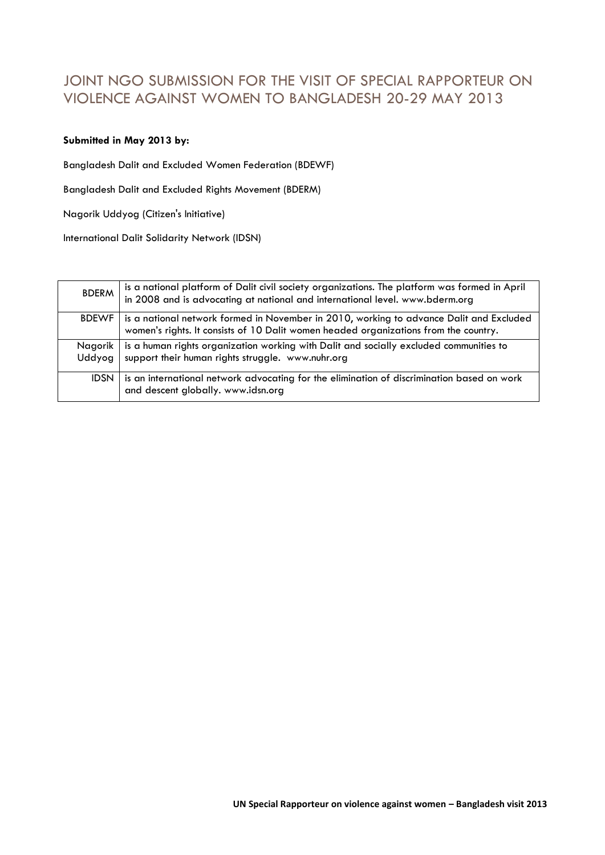# JOINT NGO SUBMISSION FOR THE VISIT OF SPECIAL RAPPORTEUR ON VIOLENCE AGAINST WOMEN TO BANGLADESH 20-29 MAY 2013

## **Submitted in May 2013 by:**

Bangladesh Dalit and Excluded Women Federation (BDEWF)

Bangladesh Dalit and Excluded Rights Movement (BDERM)

Nagorik Uddyog (Citizen's Initiative)

International Dalit Solidarity Network (IDSN)

| <b>BDERM</b>        | is a national platform of Dalit civil society organizations. The platform was formed in April<br>in 2008 and is advocating at national and international level. www.bderm.org   |
|---------------------|---------------------------------------------------------------------------------------------------------------------------------------------------------------------------------|
| <b>BDEWF</b>        | is a national network formed in November in 2010, working to advance Dalit and Excluded<br>women's rights. It consists of 10 Dalit women headed organizations from the country. |
| Nagorik l<br>Uddyoa | is a human rights organization working with Dalit and socially excluded communities to<br>support their human rights struggle. www.nuhr.org                                     |
| <b>IDSN</b>         | is an international network advocating for the elimination of discrimination based on work<br>and descent globally. www.idsn.org                                                |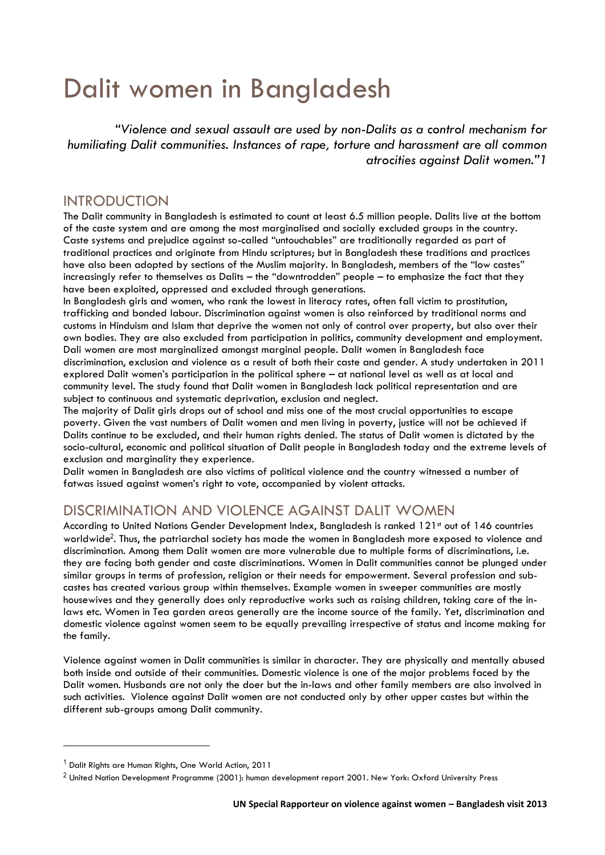# Dalit women in Bangladesh

*"Violence and sexual assault are used by non-Dalits as a control mechanism for humiliating Dalit communities. Instances of rape, torture and harassment are all common atrocities against Dalit women."1*

# INTRODUCTION

The Dalit community in Bangladesh is estimated to count at least 6.5 million people. Dalits live at the bottom of the caste system and are among the most marginalised and socially excluded groups in the country. Caste systems and prejudice against so-called "untouchables" are traditionally regarded as part of traditional practices and originate from Hindu scriptures; but in Bangladesh these traditions and practices have also been adopted by sections of the Muslim majority. In Bangladesh, members of the "low castes" increasingly refer to themselves as Dalits – the "downtrodden" people – to emphasize the fact that they have been exploited, oppressed and excluded through generations.

In Bangladesh girls and women, who rank the lowest in literacy rates, often fall victim to prostitution, trafficking and bonded labour. Discrimination against women is also reinforced by traditional norms and customs in Hinduism and Islam that deprive the women not only of control over property, but also over their own bodies. They are also excluded from participation in politics, community development and employment. Dali women are most marginalized amongst marginal people. Dalit women in Bangladesh face discrimination, exclusion and violence as a result of both their caste and gender. A study undertaken in 2011 explored Dalit women's participation in the political sphere – at national level as well as at local and community level. The study found that Dalit women in Bangladesh lack political representation and are subject to continuous and systematic deprivation, exclusion and neglect.

The majority of Dalit girls drops out of school and miss one of the most crucial opportunities to escape poverty. Given the vast numbers of Dalit women and men living in poverty, justice will not be achieved if Dalits continue to be excluded, and their human rights denied. The status of Dalit women is dictated by the socio-cultural, economic and political situation of Dalit people in Bangladesh today and the extreme levels of exclusion and marginality they experience.

Dalit women in Bangladesh are also victims of political violence and the country witnessed a number of fatwas issued against women's right to vote, accompanied by violent attacks.

# DISCRIMINATION AND VIOLENCE AGAINST DALIT WOMEN

According to United Nations Gender Development Index, Bangladesh is ranked 121st out of 146 countries worldwide<sup>2</sup> . Thus, the patriarchal society has made the women in Bangladesh more exposed to violence and discrimination. Among them Dalit women are more vulnerable due to multiple forms of discriminations, i.e. they are facing both gender and caste discriminations. Women in Dalit communities cannot be plunged under similar groups in terms of profession, religion or their needs for empowerment. Several profession and subcastes has created various group within themselves. Example women in sweeper communities are mostly housewives and they generally does only reproductive works such as raising children, taking care of the inlaws etc. Women in Tea garden areas generally are the income source of the family. Yet, discrimination and domestic violence against women seem to be equally prevailing irrespective of status and income making for the family.

Violence against women in Dalit communities is similar in character. They are physically and mentally abused both inside and outside of their communities. Domestic violence is one of the major problems faced by the Dalit women. Husbands are not only the doer but the in-laws and other family members are also involved in such activities. Violence against Dalit women are not conducted only by other upper castes but within the different sub-groups among Dalit community.

 $\overline{\phantom{a}}$ 

<sup>&</sup>lt;sup>1</sup> Dalit Rights are Human Rights, One World Action, 2011

<sup>&</sup>lt;sup>2</sup> United Nation Development Programme (2001): human development report 2001. New York: Oxford University Press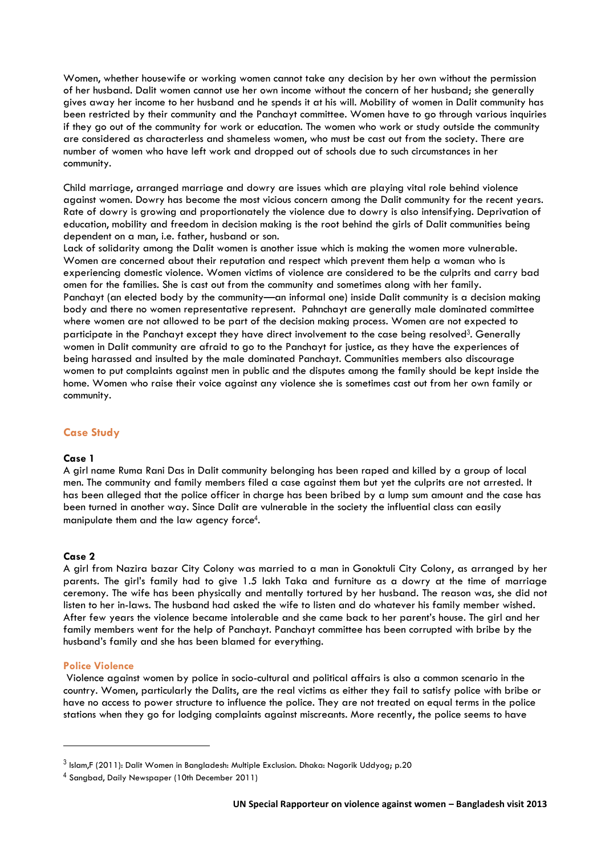Women, whether housewife or working women cannot take any decision by her own without the permission of her husband. Dalit women cannot use her own income without the concern of her husband; she generally gives away her income to her husband and he spends it at his will. Mobility of women in Dalit community has been restricted by their community and the Panchayt committee. Women have to go through various inquiries if they go out of the community for work or education. The women who work or study outside the community are considered as characterless and shameless women, who must be cast out from the society. There are number of women who have left work and dropped out of schools due to such circumstances in her community.

Child marriage, arranged marriage and dowry are issues which are playing vital role behind violence against women. Dowry has become the most vicious concern among the Dalit community for the recent years. Rate of dowry is growing and proportionately the violence due to dowry is also intensifying. Deprivation of education, mobility and freedom in decision making is the root behind the girls of Dalit communities being dependent on a man, i.e. father, husband or son.

Lack of solidarity among the Dalit women is another issue which is making the women more vulnerable. Women are concerned about their reputation and respect which prevent them help a woman who is experiencing domestic violence. Women victims of violence are considered to be the culprits and carry bad omen for the families. She is cast out from the community and sometimes along with her family. Panchayt (an elected body by the community—an informal one) inside Dalit community is a decision making body and there no women representative represent. Pahnchayt are generally male dominated committee where women are not allowed to be part of the decision making process. Women are not expected to participate in the Panchayt except they have direct involvement to the case being resolved<sup>3</sup>. Generally women in Dalit community are afraid to go to the Panchayt for justice, as they have the experiences of being harassed and insulted by the male dominated Panchayt. Communities members also discourage women to put complaints against men in public and the disputes among the family should be kept inside the home. Women who raise their voice against any violence she is sometimes cast out from her own family or community.

## **Case Study**

## **Case 1**

A girl name Ruma Rani Das in Dalit community belonging has been raped and killed by a group of local men. The community and family members filed a case against them but yet the culprits are not arrested. It has been alleged that the police officer in charge has been bribed by a lump sum amount and the case has been turned in another way. Since Dalit are vulnerable in the society the influential class can easily manipulate them and the law agency force $\rm ^4$ .

## **Case 2**

A girl from Nazira bazar City Colony was married to a man in Gonoktuli City Colony, as arranged by her parents. The girl's family had to give 1.5 lakh Taka and furniture as a dowry at the time of marriage ceremony. The wife has been physically and mentally tortured by her husband. The reason was, she did not listen to her in-laws. The husband had asked the wife to listen and do whatever his family member wished. After few years the violence became intolerable and she came back to her parent's house. The girl and her family members went for the help of Panchayt. Panchayt committee has been corrupted with bribe by the husband's family and she has been blamed for everything.

#### **Police Violence**

 $\overline{\phantom{a}}$ 

Violence against women by police in socio-cultural and political affairs is also a common scenario in the country. Women, particularly the Dalits, are the real victims as either they fail to satisfy police with bribe or have no access to power structure to influence the police. They are not treated on equal terms in the police stations when they go for lodging complaints against miscreants. More recently, the police seems to have

 $^3$  Islam,F (2011): Dalit Women in Bangladesh: Multiple Exclusion. Dhaka: Nagorik Uddyog; p.20

<sup>4</sup> Sangbad, Daily Newspaper (10th December 2011)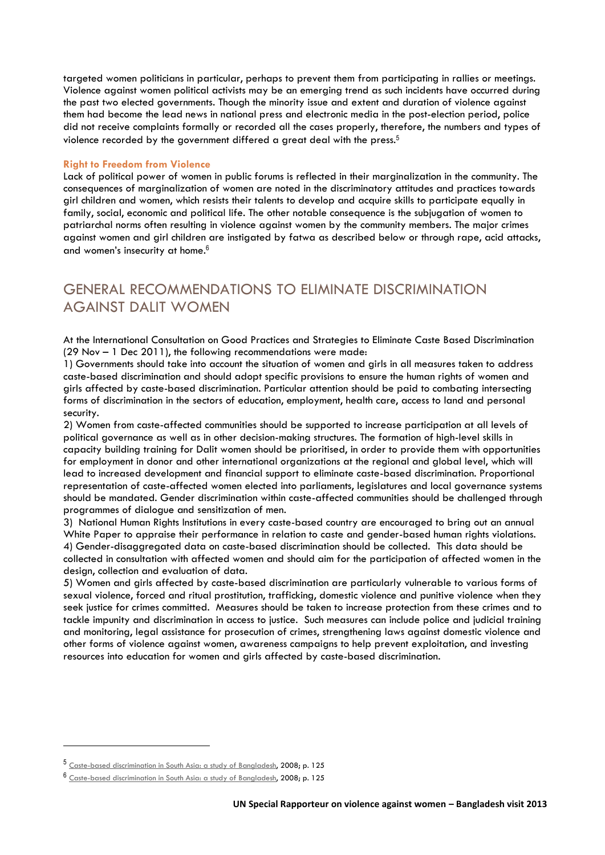targeted women politicians in particular, perhaps to prevent them from participating in rallies or meetings. Violence against women political activists may be an emerging trend as such incidents have occurred during the past two elected governments. Though the minority issue and extent and duration of violence against them had become the lead news in national press and electronic media in the post-election period, police did not receive complaints formally or recorded all the cases properly, therefore, the numbers and types of violence recorded by the government differed a great deal with the press.<sup>5</sup>

#### **Right to Freedom from Violence**

Lack of political power of women in public forums is reflected in their marginalization in the community. The consequences of marginalization of women are noted in the discriminatory attitudes and practices towards girl children and women, which resists their talents to develop and acquire skills to participate equally in family, social, economic and political life. The other notable consequence is the subjugation of women to patriarchal norms often resulting in violence against women by the community members. The major crimes against women and girl children are instigated by fatwa as described below or through rape, acid attacks, and women's insecurity at home.<sup>6</sup>

# GENERAL RECOMMENDATIONS TO ELIMINATE DISCRIMINATION AGAINST DALIT WOMEN

At the [International Consultation on Good Practices and Strategies to Eliminate Caste Based Discrimination](http://idsn.org/idsn-consultation/)  (29 Nov – [1 Dec 2011\), t](http://idsn.org/idsn-consultation/)he following recommendations were made:

1) Governments should take into account the situation of women and girls in all measures taken to address caste-based discrimination and should adopt specific provisions to ensure the human rights of women and girls affected by caste-based discrimination. Particular attention should be paid to combating intersecting forms of discrimination in the sectors of education, employment, health care, access to land and personal security.

2) Women from caste-affected communities should be supported to increase participation at all levels of political governance as well as in other decision-making structures. The formation of high-level skills in capacity building training for Dalit women should be prioritised, in order to provide them with opportunities for employment in donor and other international organizations at the regional and global level, which will lead to increased development and financial support to eliminate caste-based discrimination. Proportional representation of caste-affected women elected into parliaments, legislatures and local governance systems should be mandated. Gender discrimination within caste-affected communities should be challenged through programmes of dialogue and sensitization of men.

3) National Human Rights Institutions in every caste-based country are encouraged to bring out an annual White Paper to appraise their performance in relation to caste and gender-based human rights violations. 4) Gender-disaggregated data on caste-based discrimination should be collected. This data should be collected in consultation with affected women and should aim for the participation of affected women in the design, collection and evaluation of data.

5) Women and girls affected by caste-based discrimination are particularly vulnerable to various forms of sexual violence, forced and ritual prostitution, trafficking, domestic violence and punitive violence when they seek justice for crimes committed. Measures should be taken to increase protection from these crimes and to tackle impunity and discrimination in access to justice. Such measures can include police and judicial training and monitoring, legal assistance for prosecution of crimes, strengthening laws against domestic violence and other forms of violence against women, awareness campaigns to help prevent exploitation, and investing resources into education for women and girls affected by caste-based discrimination.

 $\overline{\phantom{a}}$ 

<sup>5</sup> [Caste-based discrimination in South Asia: a study of Bangladesh,](http://idsn.org/fileadmin/user_folder/pdf/Old_files/asia/pdf/RR_Bangladesh.pdf) 2008; p. 125

<sup>6</sup> [Caste-based discrimination in South Asia: a study of Bangladesh,](http://idsn.org/fileadmin/user_folder/pdf/Old_files/asia/pdf/RR_Bangladesh.pdf) 2008; p. 125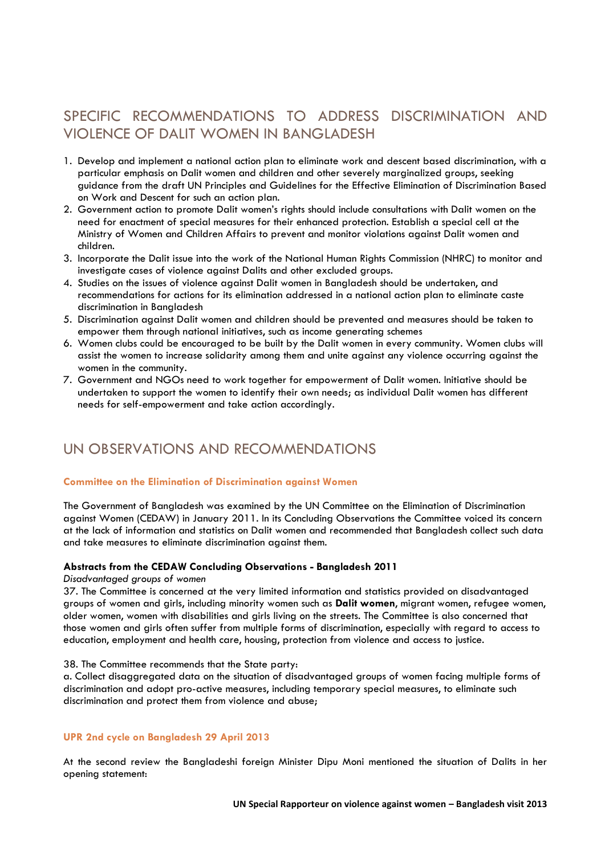# SPECIFIC RECOMMENDATIONS TO ADDRESS DISCRIMINATION AND VIOLENCE OF DALIT WOMEN IN BANGLADESH

- 1. Develop and implement a national action plan to eliminate work and descent based discrimination, with a particular emphasis on Dalit women and children and other severely marginalized groups, seeking guidance from the draft UN Principles and Guidelines for the Effective Elimination of Discrimination Based on Work and Descent for such an action plan.
- 2. Government action to promote Dalit women's rights should include consultations with Dalit women on the need for enactment of special measures for their enhanced protection. Establish a special cell at the Ministry of Women and Children Affairs to prevent and monitor violations against Dalit women and children.
- 3. Incorporate the Dalit issue into the work of the National Human Rights Commission (NHRC) to monitor and investigate cases of violence against Dalits and other excluded groups.
- 4. Studies on the issues of violence against Dalit women in Bangladesh should be undertaken, and recommendations for actions for its elimination addressed in a national action plan to eliminate caste discrimination in Bangladesh
- 5. Discrimination against Dalit women and children should be prevented and measures should be taken to empower them through national initiatives, such as income generating schemes
- 6. Women clubs could be encouraged to be built by the Dalit women in every community. Women clubs will assist the women to increase solidarity among them and unite against any violence occurring against the women in the community.
- 7. Government and NGOs need to work together for empowerment of Dalit women. Initiative should be undertaken to support the women to identify their own needs; as individual Dalit women has different needs for self-empowerment and take action accordingly.

# UN OBSERVATIONS AND RECOMMENDATIONS

## **Committee on the Elimination of Discrimination against Women**

The Government of Bangladesh was examined by the UN Committee on the Elimination of Discrimination against Women (CEDAW) in January 2011. In its Concluding Observations the Committee voiced its concern at the lack of information and statistics on Dalit women and recommended that Bangladesh collect such data and take measures to eliminate discrimination against them.

## **Abstracts from the CEDAW Concluding Observations - Bangladesh 2011**

## *Disadvantaged groups of women*

37. The Committee is concerned at the very limited information and statistics provided on disadvantaged groups of women and girls, including minority women such as **Dalit women**, migrant women, refugee women, older women, women with disabilities and girls living on the streets. The Committee is also concerned that those women and girls often suffer from multiple forms of discrimination, especially with regard to access to education, employment and health care, housing, protection from violence and access to justice.

## 38. The Committee recommends that the State party:

a. Collect disaggregated data on the situation of disadvantaged groups of women facing multiple forms of discrimination and adopt pro-active measures, including temporary special measures, to eliminate such discrimination and protect them from violence and abuse;

## **UPR 2nd cycle on Bangladesh 29 April 2013**

At the second review the Bangladeshi foreign Minister Dipu Moni mentioned the situation of Dalits in her opening statement: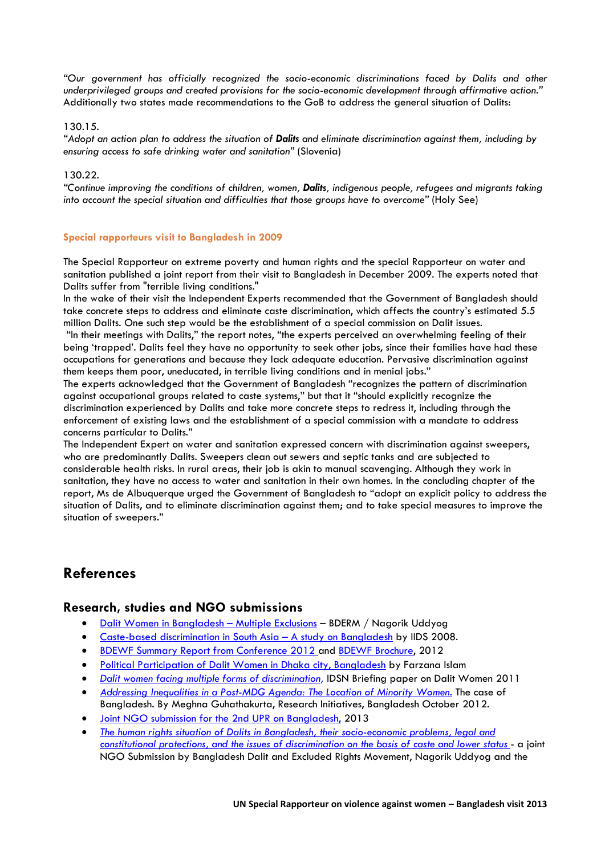*"Our government has officially recognized the socio-economic discriminations faced by Dalits and other underprivileged groups and created provisions for the socio-economic development through affirmative action."* Additionally two states made recommendations to the GoB to address the general situation of Dalits:

## 130.15.

*"Adopt an action plan to address the situation of Dalits and eliminate discrimination against them, including by ensuring access to safe drinking water and sanitation"* (Slovenia)

## 130.22.

*"Continue improving the conditions of children, women, Dalits, indigenous people, refugees and migrants taking into account the special situation and difficulties that those groups have to overcome"* (Holy See)

## **Special rapporteurs visit to Bangladesh in 2009**

The Special Rapporteur on extreme poverty and human rights and the special Rapporteur on water and sanitation published a joint report from their visit to Bangladesh in December 2009. The experts noted that Dalits suffer from "terrible living conditions."

In the wake of their visit the Independent Experts recommended that the Government of Bangladesh should take concrete steps to address and eliminate caste discrimination, which affects the country's estimated 5.5 million Dalits. One such step would be the establishment of a special commission on Dalit issues.

"In their meetings with Dalits," the report notes, "the experts perceived an overwhelming feeling of their being 'trapped'. Dalits feel they have no opportunity to seek other jobs, since their families have had these occupations for generations and because they lack adequate education. Pervasive discrimination against them keeps them poor, uneducated, in terrible living conditions and in menial jobs."

The experts acknowledged that the Government of Bangladesh "recognizes the pattern of discrimination against occupational groups related to caste systems," but that it "should explicitly recognize the discrimination experienced by Dalits and take more concrete steps to redress it, including through the enforcement of existing laws and the establishment of a special commission with a mandate to address concerns particular to Dalits."

The Independent Expert on water and sanitation expressed concern with discrimination against sweepers, who are predominantly Dalits. Sweepers clean out sewers and septic tanks and are subjected to considerable health risks. In rural areas, their job is akin to manual scavenging. Although they work in sanitation, they have no access to water and sanitation in their own homes. In the concluding chapter of the report, Ms de Albuquerque urged the Government of Bangladesh to "adopt an explicit policy to address the situation of Dalits, and to eliminate discrimination against them; and to take special measures to improve the situation of sweepers."

# **References**

# **Research, studies and NGO submissions**

- [Dalit Women in Bangladesh](http://idsn.org/fileadmin/user_folder/pdf/New_files/Bangladesh/Dalit_Women_in_Bangladesh_-_Multiple_Exclusions.pdf)  Multiple Exclusions BDERM / Nagorik Uddyog
- [Caste-based discrimination in South Asia](http://idsn.org/fileadmin/user_folder/pdf/Old_files/asia/pdf/RR_Bangladesh.pdf)  A study on Bangladesh by IIDS 2008.
- [BDEWF Summary Report from Conference 2012 a](http://idsn.org/fileadmin/user_folder/pdf/New_files/Bangladesh/BDEWF_Summary_Report_of_Dalit_Women_Conference_2012.pdf)nd [BDEWF Brochure,](http://idsn.org/fileadmin/user_folder/pdf/New_files/Bangladesh/BDEWF_Brochure-_English.pdf) 2012
- [Political Participation of Dalit Women in Dhaka city, Bangladesh](http://idsn.org/fileadmin/user_folder/pdf/New_files/Bangladesh/Bangladesh_Dalit_women_FarzanaIslam.pdf) by Farzana Islam
- *[Dalit women facing multiple forms of discrimination,](http://idsn.org/fileadmin/user_folder/pdf/New_files/Key_Issues/Dalit_Women/DALITWOMEN_briefing_paper2011.pdf)* IDSN Briefing paper on Dalit Women 2011
- *[Addressing Inequalities in a Post-MDG Agenda: The Location of Minority Women.](http://idsn.org/fileadmin/user_folder/pdf/New_files/Bangladesh/Addressing_Inequalities_in_a_Post-MDG_Agenda__The_Location_of_Minority_Women.pdf)* The case of Bangladesh. By Meghna Guhathakurta, Research Initiatives, Bangladesh October 2012.
- [Joint NGO submission for the 2nd UPR on Bangladesh,](http://idsn.org/fileadmin/user_folder/pdf/New_files/Bangladesh/UPR-Bangladesh__Dalits_Situation_-_Web_Version.pdf) 2013
- *[The human rights situation of Dalits in Bangladesh, their socio-economic problems, legal and](http://idsn.org/fileadmin/user_folder/pdf/New_files/UN/UPR_Report_Bangladesh.pdf)  [constitutional protections, and the issues of discrimination on the basis of caste and lower status](http://idsn.org/fileadmin/user_folder/pdf/New_files/UN/UPR_Report_Bangladesh.pdf)* - a joint NGO Submission by Bangladesh Dalit and Excluded Rights Movement, Nagorik Uddyog and the